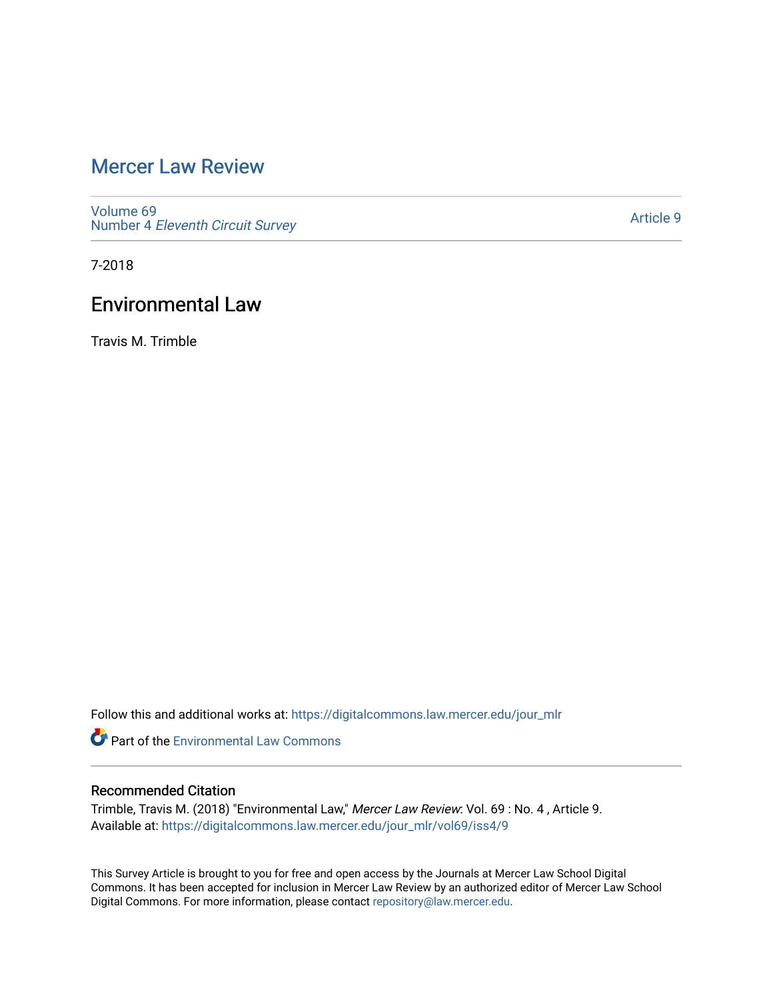## [Mercer Law Review](https://digitalcommons.law.mercer.edu/jour_mlr)

[Volume 69](https://digitalcommons.law.mercer.edu/jour_mlr/vol69) Number 4 [Eleventh Circuit Survey](https://digitalcommons.law.mercer.edu/jour_mlr/vol69/iss4) 

[Article 9](https://digitalcommons.law.mercer.edu/jour_mlr/vol69/iss4/9) 

7-2018

## Environmental Law

Travis M. Trimble

Follow this and additional works at: [https://digitalcommons.law.mercer.edu/jour\\_mlr](https://digitalcommons.law.mercer.edu/jour_mlr?utm_source=digitalcommons.law.mercer.edu%2Fjour_mlr%2Fvol69%2Fiss4%2F9&utm_medium=PDF&utm_campaign=PDFCoverPages)

**C** Part of the [Environmental Law Commons](http://network.bepress.com/hgg/discipline/599?utm_source=digitalcommons.law.mercer.edu%2Fjour_mlr%2Fvol69%2Fiss4%2F9&utm_medium=PDF&utm_campaign=PDFCoverPages)

## Recommended Citation

Trimble, Travis M. (2018) "Environmental Law," Mercer Law Review: Vol. 69 : No. 4 , Article 9. Available at: [https://digitalcommons.law.mercer.edu/jour\\_mlr/vol69/iss4/9](https://digitalcommons.law.mercer.edu/jour_mlr/vol69/iss4/9?utm_source=digitalcommons.law.mercer.edu%2Fjour_mlr%2Fvol69%2Fiss4%2F9&utm_medium=PDF&utm_campaign=PDFCoverPages)

This Survey Article is brought to you for free and open access by the Journals at Mercer Law School Digital Commons. It has been accepted for inclusion in Mercer Law Review by an authorized editor of Mercer Law School Digital Commons. For more information, please contact [repository@law.mercer.edu](mailto:repository@law.mercer.edu).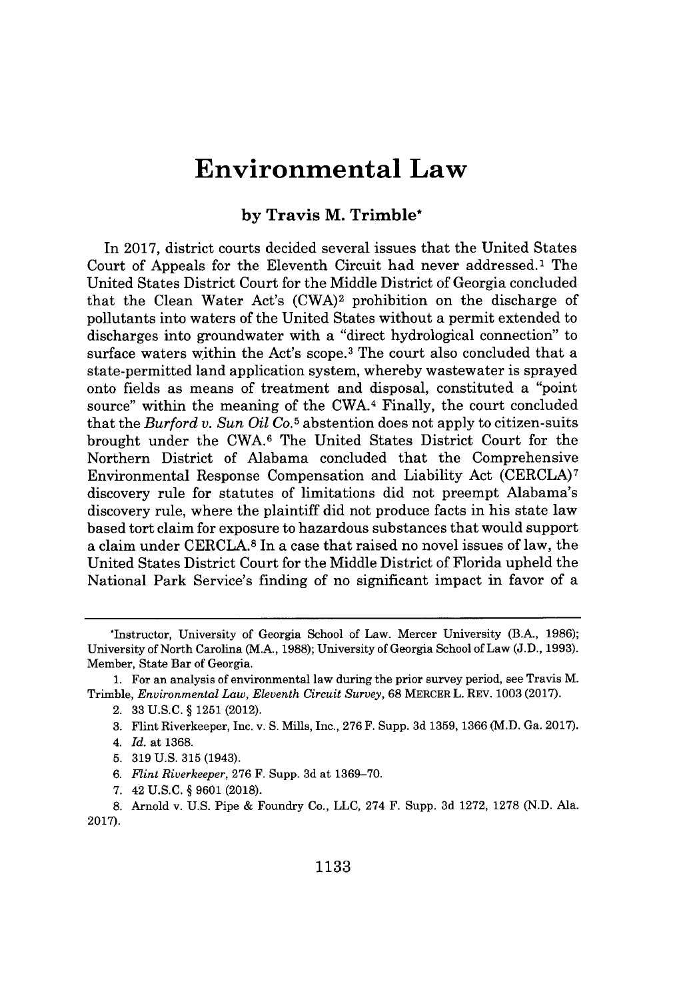# **Environmental Law**

### **by Travis M. Trimble\***

In **2017,** district courts decided several issues that the United States Court of Appeals for the Eleventh Circuit had never addressed.' The United States District Court for the Middle District of Georgia concluded that the Clean Water Act's (CWA)2 prohibition on the discharge of pollutants into waters of the United States without a permit extended to discharges into groundwater with a "direct hydrological connection" to surface waters within the Act's scope.<sup>3</sup> The court also concluded that a state-permitted land application system, whereby wastewater is sprayed onto fields as means of treatment and disposal, constituted a "point source" within the meaning of the CWA.4 Finally, the court concluded that the *Burford v. Sun Oil Co.5* abstention does not apply to citizen-suits brought under the **CWA.6** The United States District Court for the Northern District of Alabama concluded that the Comprehensive Environmental Response Compensation and Liability Act (CERCLA)7 discovery rule for statutes of limitations did not preempt Alabama's discovery rule, where the plaintiff did not produce facts in his state law based tort claim for exposure to hazardous substances that would support a claim under **CERCLA. <sup>8</sup>**In a case that raised no novel issues of law, the United States District Court for the Middle District of Florida upheld the National Park Service's finding of no significant impact in favor of a

<sup>\*</sup>Instructor, University of Georgia School of Law. Mercer University (B.A., **1986);** University of North Carolina (M.A., **1988);** University of Georgia School of Law **(J.D., 1993).** Member, State Bar of Georgia.

**<sup>1.</sup>** For an analysis of environmental law during the prior survey period, see Travis M. Trimble, *Environmental Law, Eleventh Circuit Survey,* **68** MERCER L. REV. **1003 (2017).**

<sup>2.</sup> **33 U.S.C. § 1251** (2012).

**<sup>3.</sup>** Flint Riverkeeper, Inc. v. **S.** Mills, Inc., **276** F. Supp. **3d 1359, 1366** (M.D. Ga. **2017).**

<sup>4.</sup> *Id.* at **1368.**

**<sup>5. 319</sup> U.S. 315** (1943).

**<sup>6.</sup>** *Flint Riverkeeper,* **276** F. Supp. **3d** at **1369-70.**

**<sup>7.</sup>** 42 **U.S.C. § 9601 (2018).**

**<sup>8.</sup>** Arnold v. **U.S.** Pipe **&** Foundry Co., **LLC,** 274 F. Supp. **3d 1272, 1278 (N.D.** Ala. **2017).**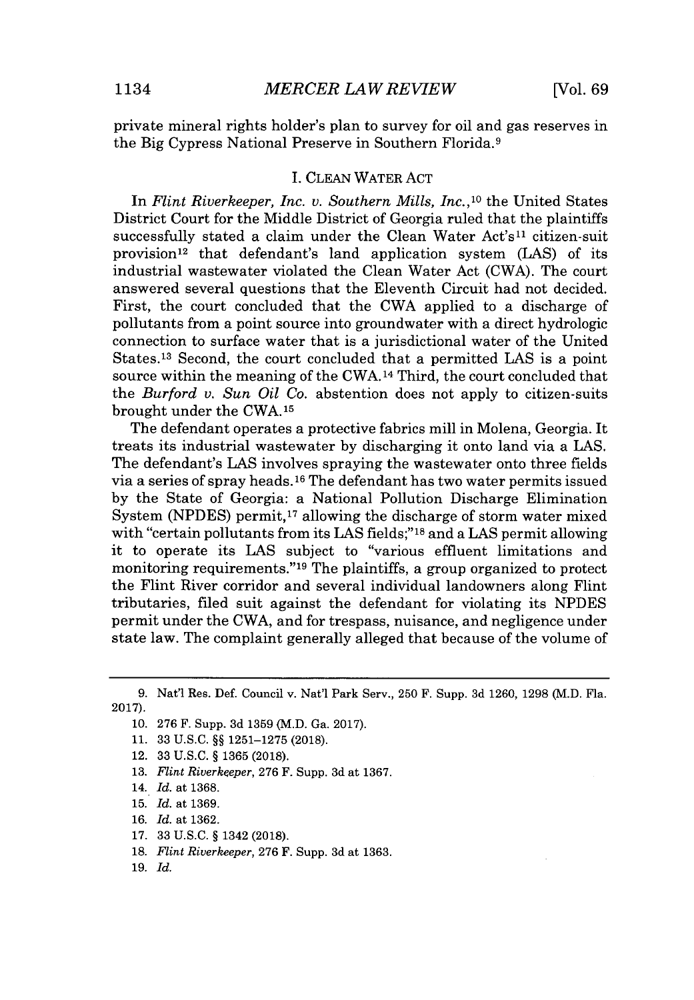private mineral rights holder's plan to survey for oil and gas reserves in the Big Cypress National Preserve in Southern Florida.<sup>9</sup>

### **I. CLEAN** WATER **ACT**

In *Flint Riverkeeper, Inc. v. Southern Mills, Inc.,<sup>10</sup>*the United States District Court for the Middle District of Georgia ruled that the plaintiffs successfully stated a claim under the Clean Water Act's11 citizen-suit provision<sup>12</sup> that defendant's land application system (LAS) of its industrial wastewater violated the Clean Water Act (CWA). The court answered several questions that the Eleventh Circuit had not decided. First, the court concluded that the CWA applied to a discharge of pollutants from a point source into groundwater with a direct hydrologic connection to surface water that is a jurisdictional water of the United States.13 Second, the court concluded that a permitted **LAS** is a point source within the meaning of the CWA.14 Third, the court concluded that the *Burford v. Sun Oil Co.* abstention does not apply to citizen-suits brought under the CWA.15

The defendant operates a protective fabrics mill in Molena, Georgia. It treats its industrial wastewater **by** discharging it onto land via a *LAS.* The defendant's **LAS** involves spraying the wastewater onto three fields via a series of spray heads.<sup>16</sup> The defendant has two water permits issued **by** the State of Georgia: a National Pollution Discharge Elimination System (NPDES) permit,<sup>17</sup> allowing the discharge of storm water mixed with "certain pollutants from its **LAS** fields;"<sup>18</sup>and a **LAS** permit allowing it to operate its **LAS** subject to "various effluent limitations and monitoring requirements."<sup>19</sup> The plaintiffs, a group organized to protect the Flint River corridor and several individual landowners along Flint tributaries, filed suit against the defendant for violating its **NPDES** permit under the CWA, and for trespass, nuisance, and negligence under state law. The complaint generally alleged that because of the volume of

- **13.** *Flint Riverkeeper,* **276** F. Supp. **3d** at **1367.**
- 14. *Id.* at **1368.**
- **15.** *Id.* at **1369.**
- **16.** *Id.* at **1362.**
- **17. 33 U.S.C. §** 1342 **(2018).**
- **18.** *Flint Riverkeeper,* **276** F. Supp. **3d** at **1363.**
- **19.** *Id.*

**<sup>9.</sup>** Nat'1 Res. Def. Council v. Nat'1 Park Serv., **250** F. Supp. **3d 1260, 1298** (M.D. Fla. **2017).**

**<sup>10. 276</sup>** F. Supp. **3d 1359** (M.D. Ga. **2017).**

**<sup>11. 33</sup> U.S.C. §§ 1251-1275 (2018).**

<sup>12.</sup> **33 U.S.C. § 1365 (2018).**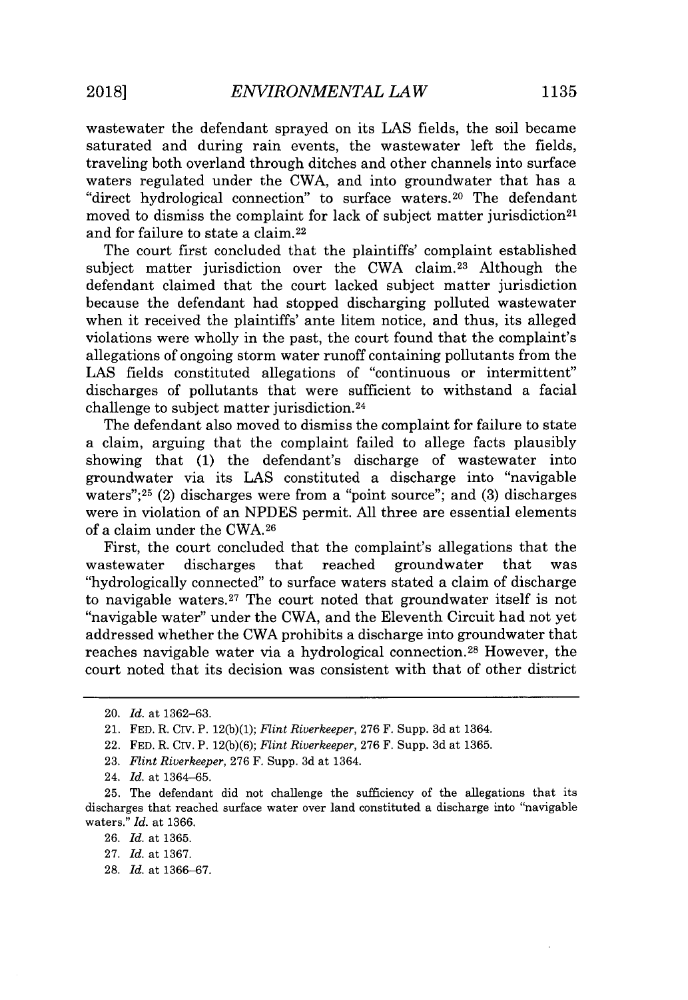wastewater the defendant sprayed on its **LAS** fields, the soil became saturated and during rain events, the wastewater left the fields, traveling both overland through ditches and other channels into surface waters regulated under the CWA, and into groundwater that has a "direct hydrological connection" to surface waters.<sup>20</sup> The defendant moved to dismiss the complaint for lack of subject matter jurisdiction<sup>21</sup> and for failure to state a claim. <sup>22</sup>

The court first concluded that the plaintiffs' complaint established subject matter jurisdiction over the CWA claim.<sup>23</sup> Although the defendant claimed that the court lacked subject matter jurisdiction because the defendant had stopped discharging polluted wastewater when it received the plaintiffs' ante litem notice, and thus, its alleged violations were wholly in the past, the court found that the complaint's allegations of ongoing storm water runoff containing pollutants from the LAS fields constituted allegations of "continuous or intermittent" discharges of pollutants that were sufficient to withstand a facial challenge to subject matter jurisdiction. <sup>24</sup>

The defendant also moved to dismiss the complaint for failure to state a claim, arguing that the complaint failed to allege facts plausibly showing that **(1)** the defendant's discharge of wastewater into groundwater via its **LAS** constituted a discharge into "navigable waters"; <sup>25</sup>(2) discharges were from a "point source"; and **(3)** discharges were in violation of an **NPDES** permit. **All** three are essential elements of a claim under the **CWA.26**

First, the court concluded that the complaint's allegations that the wastewater discharges that reached groundwater that was "hydrologically connected" to surface waters stated a claim of discharge to navigable waters.<sup>27</sup>The court noted that groundwater itself is not "navigable water" under the CWA, and the Eleventh Circuit had not yet addressed whether the CWA prohibits a discharge into groundwater that reaches navigable water via a hydrological connection.<sup>28</sup> However, the court noted that its decision was consistent with that of other district

- **23.** *Flint Riverkeeper,* **276** F. Supp. **3d** at 1364.
- 24. *Id.* at **1364-65.**

**28.** *Id.* at **1366-67.**

<sup>20.</sup> *Id.* at **1362-63.**

<sup>21.</sup> **FED.** R. CIv. P. **12(b)(1);** *Flint Riverkeeper,* **276** F. Supp. **3d** at 1364.

<sup>22.</sup> **FED.** R. CIv. P. **12(b)(6);** *Flint Riverkeeper,* **276** F. Supp. **3d** at **1365.**

**<sup>25.</sup>** The defendant did not challenge the sufficiency of the allegations that its discharges that reached surface water over land constituted a discharge into "navigable waters." *Id.* at **1366.**

**<sup>26.</sup>** *Id.* at **1365.**

**<sup>27.</sup>** *Id.* at **1367.**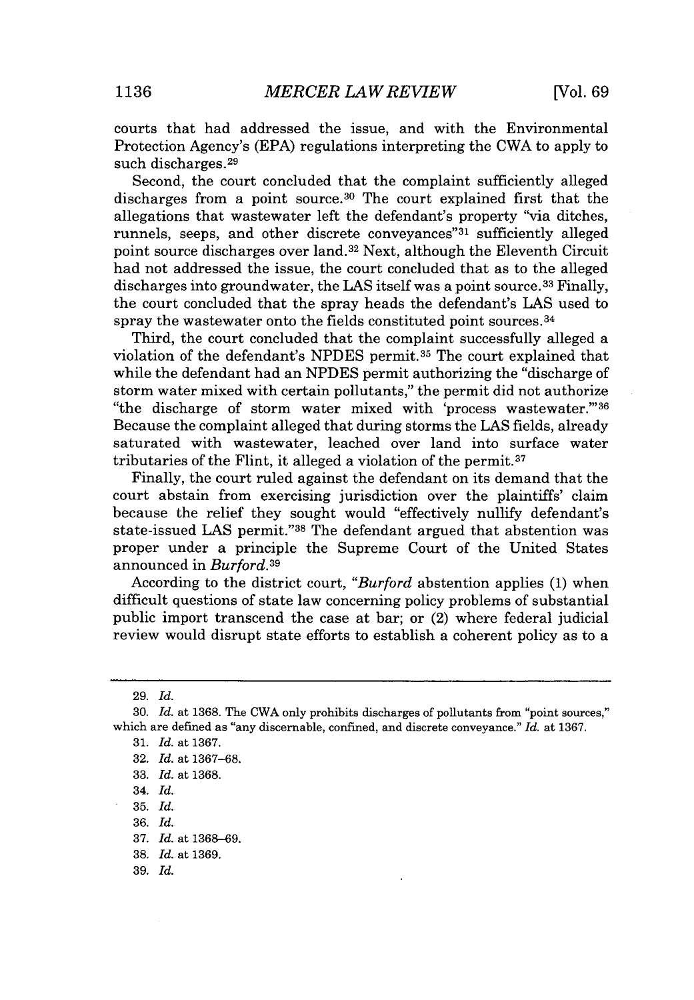courts that had addressed the issue, and with the Environmental Protection Agency's **(EPA)** regulations interpreting the CWA to apply to such discharges.29

Second, the court concluded that the complaint sufficiently alleged discharges from a point source.<sup>30</sup> The court explained first that the allegations that wastewater left the defendant's property "via ditches, runnels, seeps, and other discrete conveyances<sup>"31</sup> sufficiently alleged point source discharges over land.<sup>32</sup>Next, although the Eleventh Circuit had not addressed the issue, the court concluded that as to the alleged discharges into groundwater, the **LAS** itself was a point source. <sup>33</sup>Finally, the court concluded that the spray heads the defendant's **LAS** used to spray the wastewater onto the fields constituted point sources.<sup>34</sup>

Third, the court concluded that the complaint successfully alleged a violation of the defendant's NPDES permit.<sup>35</sup> The court explained that while the defendant had an **NPDES** permit authorizing the "discharge of storm water mixed with certain pollutants," the permit did not authorize "the discharge of storm water mixed with 'process wastewater."<sup>36</sup> Because the complaint alleged that during storms the **LAS** fields, already saturated with wastewater, leached over land into surface water tributaries of the Flint, it alleged a violation of the permit.37

Finally, the court ruled against the defendant on its demand that the court abstain from exercising jurisdiction over the plaintiffs' claim because the relief they sought would "effectively nullify defendant's state-issued **LAS** permit."<sup>38</sup>The defendant argued that abstention was proper under a principle the Supreme Court of the United States announced in *Burford.<sup>39</sup>*

According to the district court, *"Burford* abstention applies **(1)** when difficult questions of state law concerning policy problems of substantial public import transcend the case at bar; or (2) where federal judicial review would disrupt state efforts to establish a coherent policy as to a

**36.** *Id.*

**37.** *Id.* at **1368-69.**

**<sup>29.</sup>** *Id.*

**<sup>30.</sup>** *Id.* at **1368.** The CWA only prohibits discharges of pollutants from "point sources," which are defined as "any discernable, confined, and discrete conveyance." *Id.* at **1367.**

**<sup>31.</sup>** *Id.* at **1367.**

**<sup>32.</sup>** *Id.* at **1367-68.**

**<sup>33.</sup>** *Id.* at **1368.**

<sup>34.</sup> *Id.*

**<sup>35.</sup>** *Id.*

**<sup>38.</sup>** *Id.* at **1369.**

**<sup>39.</sup>** *Id.*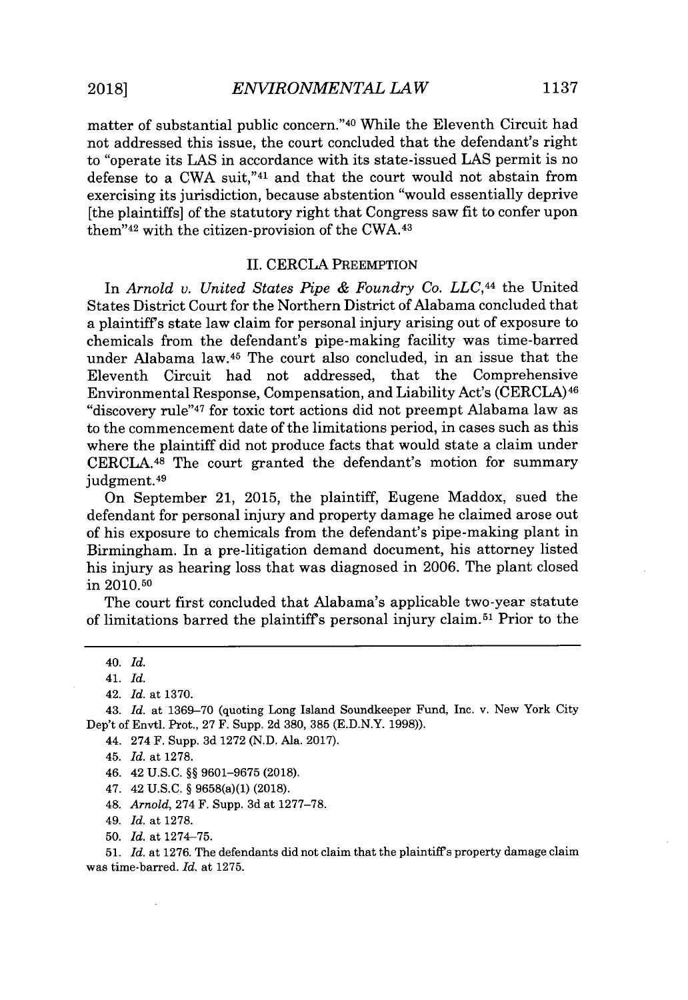matter of substantial public concern."<sup>40</sup> While the Eleventh Circuit had not addressed this issue, the court concluded that the defendant's right to "operate its **LAS** in accordance with its state-issued **LAS** permit is no defense to a CWA suit,"<sup>41</sup> and that the court would not abstain from exercising its jurisdiction, because abstention "would essentially deprive [the plaintiffs] of the statutory right that Congress saw fit to confer upon them" $42$  with the citizen-provision of the CWA. $43$ 

#### **II.** CERCLA PREEMPTION

In *Arnold v. United States Pipe & Foundry Co. LLC,44* the United States District Court for the Northern District of Alabama concluded that a plaintiffs state law claim for personal injury arising out of exposure to chemicals from the defendant's pipe-making facility was time-barred under Alabama law.<sup>45</sup> The court also concluded, in an issue that the Eleventh Circuit had not addressed, that the Comprehensive Environmental Response, Compensation, and Liability Act's (CERCLA)<sup>46</sup> "discovery rule"<sup>47</sup>for toxic tort actions did not preempt Alabama law as to the commencement date of the limitations period, in cases such as this where the plaintiff did not produce facts that would state a claim under CERCLA.48 The court granted the defendant's motion for summary judgment.<sup>49</sup>

On September 21, **2015,** the plaintiff, Eugene Maddox, sued the defendant for personal injury and property damage he claimed arose out of his exposure to chemicals from the defendant's pipe-making plant in Birmingham. In a pre-litigation demand document, his attorney listed his injury as hearing loss that was diagnosed in **2006.** The plant closed in **2010.50**

The court first concluded that Alabama's applicable two-year statute of limitations barred the plaintiff's personal injury claim.<sup>51</sup> Prior to the

43. *Id.* at **1369-70** (quoting Long Island Soundkeeper Fund, Inc. v. New York City Dep't of Envtl. Prot., **27** F. Supp. **2d 380, 385 (E.D.N.Y. 1998)).**

- 44. 274 F. Supp. **3d 1272 (N.D.** Ala. **2017).**
- 45. *Id.* at **1278.**
- 46. 42 **U.S.C. §§ 9601-9675 (2018).**
- 47. 42 **U.S.C. §** 9658(a)(1) **(2018).**
- 48. *Arnold,* 274 F. Supp. **3d** at **1277-78.**
- *49. Id.* at **1278.**
- **50.** *Id.* at **1274-75.**

**51.** *Id.* at **1276.** The defendants did not claim that the plaintiffs property damage claim was time-barred. *Id.* at **1275.**

<sup>40.</sup> *Id.*

<sup>41.</sup> *Id.*

<sup>42.</sup> *Id.* at **1370.**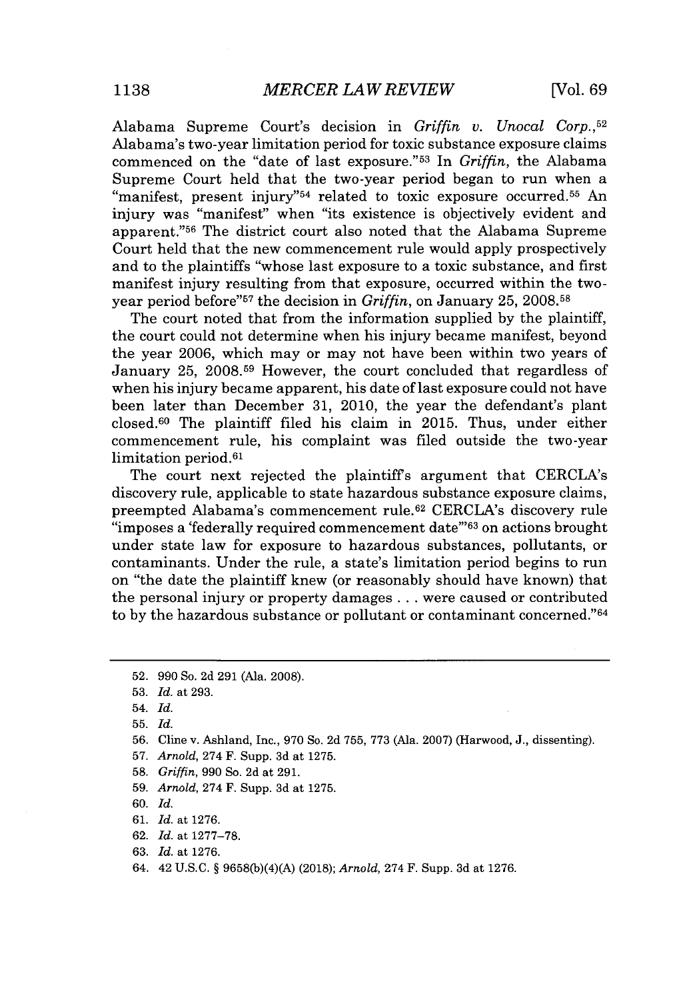Alabama Supreme Court's decision in *Griffin v. Unocal Corp.* **,52** Alabama's two-year limitation period for toxic substance exposure claims commenced on the "date of last exposure."<sup>53</sup> In *Griffin*, the Alabama Supreme Court held that the two-year period began to run when a "manifest, present injury"<sup>54</sup> related to toxic exposure occurred.<sup>55</sup> An injury was "manifest" when "its existence is objectively evident and apparent."<sup>56</sup> The district court also noted that the Alabama Supreme Court held that the new commencement rule would apply prospectively and to the plaintiffs "whose last exposure to a toxic substance, and first manifest injury resulting from that exposure, occurred within the twoyear period before"<sup>57</sup> the decision in *Griffin*, on January 25, 2008.<sup>58</sup>

The court noted that from the information supplied **by** the plaintiff, the court could not determine when his injury became manifest, beyond the year **2006,** which may or may not have been within two years of January **25, 2008.59** However, the court concluded that regardless of when his injury became apparent, his date of last exposure could not have been later than December **31,** 2010, the year the defendant's plant closed.6 0 The plaintiff filed his claim in **2015.** Thus, under either commencement rule, his complaint was filed outside the two-year limitation period.<sup>61</sup>

The court next rejected the plaintiffs argument that CERCLA's discovery rule, applicable to state hazardous substance exposure claims, preempted Alabama's commencement rule.<sup>62</sup> CERCLA's discovery rule "imposes a 'federally required commencement date"<sup>63</sup> on actions brought under state law for exposure to hazardous substances, pollutants, or contaminants. Under the rule, a state's limitation period begins to run on "the date the plaintiff knew (or reasonably should have known) that the personal injury or property damages **.** . **.** were caused or contributed to by the hazardous substance or pollutant or contaminant concerned."<sup>64</sup>

- **57.** *Arnold,* 274 F. Supp. **3d** at **1275.**
- **58.** *Griffin,* **990** So. **2d** at **291.**
- **59.** *Arnold,* 274 F. Supp. **3d** at **1275.**
- **60.** *Id.*
- **61.** *Id.* at **1276.**
- **62.** *Id.* at **1277-78.**
- **63.** *Id.* at **1276.**
- 64. 42 **U.S.C. § 9658(b)(4)(A) (2018);** *Arnold,* 274 F. Supp. **3d** at **1276.**

**<sup>52. 990</sup>** So. **2d 291** (Ala. **2008).**

**<sup>53.</sup>** *Id. at* **293.**

<sup>54.</sup> *Id.*

**<sup>55.</sup>** *Id.*

**<sup>56.</sup>** Cline v. Ashland, Inc., **970** So. **2d 755, 773** (Ala. **2007)** (Harwood, **J.,** dissenting).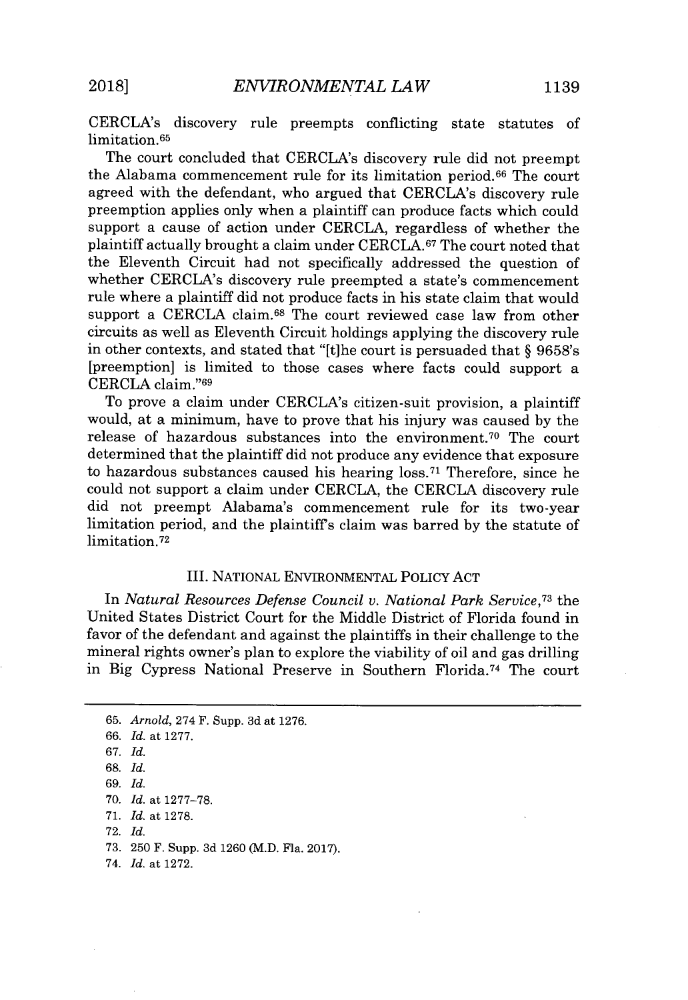CERCLA's discovery rule preempts conflicting state statutes of limitation. <sup>65</sup>

The court concluded that CERCLA's discovery rule did not preempt the Alabama commencement rule for its limitation period.<sup>66</sup> The court agreed with the defendant, who argued that CERCLA's discovery rule preemption applies only when a plaintiff can produce facts which could support a cause of action under CERCLA, regardless of whether the plaintiff actually brought a claim under **CERCLA.67** The court noted that the Eleventh Circuit had not specifically addressed the question of whether CERCLA's discovery rule preempted a state's commencement rule where a plaintiff did not produce facts in his state claim that would support a CERCLA claim.<sup>68</sup> The court reviewed case law from other circuits as well as Eleventh Circuit holdings applying the discovery rule in other contexts, and stated that "[t]he court is persuaded that *§* 9658's [preemption] is limited to those cases where facts could support a CERCLA claim."<sup>69</sup>

To prove a claim under CERCLA's citizen-suit provision, a plaintiff would, at a minimum, have to prove that his injury was caused **by** the release of hazardous substances into the environment.<sup>70</sup> The court determined that the plaintiff did not produce any evidence that exposure to hazardous substances caused his hearing **loss. <sup>71</sup>**Therefore, since he could not support a claim under CERCLA, the CERCLA discovery rule did not preempt Alabama's commencement rule for its two-year limitation period, and the plaintiffs claim was barred **by** the statute of limitation.72

### III. NATIONAL ENVIRONMENTAL POLICY **ACT**

In *Natural Resources Defense Council v. National Park Service,<sup>73</sup>*the United States District Court for the Middle District of Florida found in favor of the defendant and against the plaintiffs in their challenge to the mineral rights owner's plan to explore the viability of oil and gas drilling in Big Cypress National Preserve in Southern Florida.<sup>74</sup> The court

74. *Id.* at **1272.**

**<sup>65.</sup>** *Arnold,* 274 F. Supp. **3d** at **1276.** *66. Id.* at **1277.** *67. Id.* **68.** *Id. 69. Id.* **70.** *Id.* at **1277-78. 71.** *Id.* at **1278. 72.** *Id.* **73. 250** F. Supp. **3d 1260** (M.D. Fla. **2017).**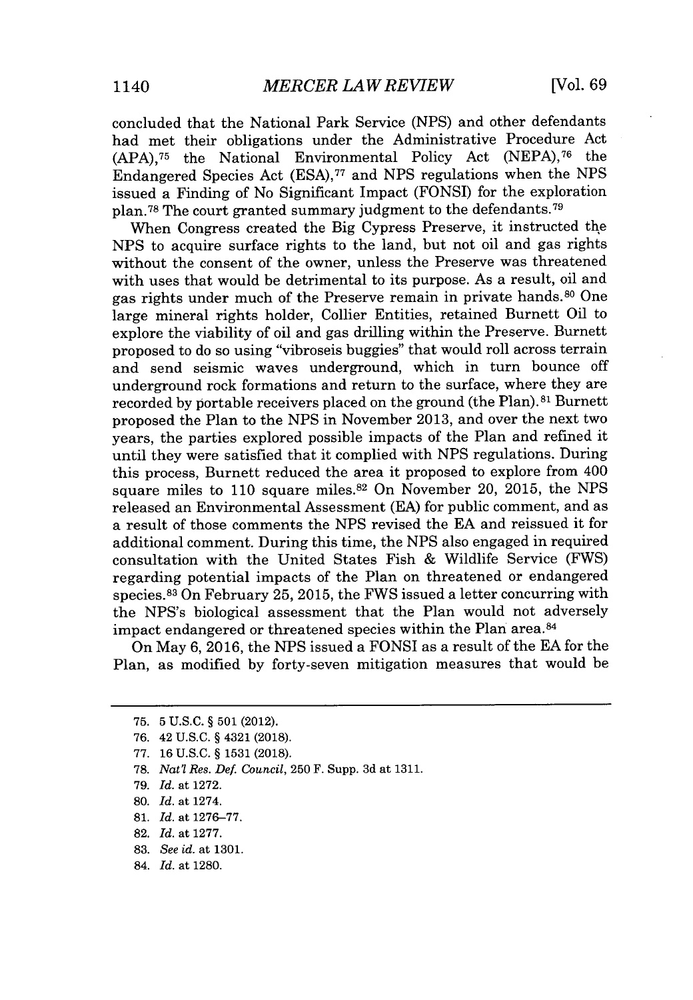concluded that the National Park Service **(NPS)** and other defendants had met their obligations under the Administrative Procedure Act **(APA),75** the National Environmental Policy Act **(NEPA),76** the Endangered Species Act **(ESA), <sup>77</sup>**and **NPS** regulations when the **NPS** issued a Finding of No Significant Impact (FONSI) for the exploration plan.<sup>78</sup> The court granted summary judgment to the defendants.<sup>79</sup>

When Congress created the Big Cypress Preserve, it instructed the **NPS** to acquire surface rights to the land, but not oil and gas rights without the consent of the owner, unless the Preserve was threatened with uses that would be detrimental to its purpose. As a result, oil and gas rights under much of the Preserve remain in private hands.<sup>80</sup> One large mineral rights holder, Collier Entities, retained Burnett Oil to explore the viability of oil and gas drilling within the Preserve. Burnett proposed to do so using "vibroseis buggies" that would roll across terrain and send seismic waves underground, which in turn bounce off underground rock formations and return to the surface, where they are recorded by portable receivers placed on the ground (the Plan).<sup>81</sup> Burnett proposed the Plan to the **NPS** in November **2013,** and over the next two years, the parties explored possible impacts of the Plan and refined it until they were satisfied that it complied with **NPS** regulations. During this process, Burnett reduced the area it proposed to explore from 400 square miles to **110** square miles. <sup>82</sup>On November 20, **2015,** the **NPS** released an Environmental Assessment **(EA)** for public comment, and as a result of those comments the **NPS** revised the **EA** and reissued it for additional comment. During this time, the **NPS** also engaged in required consultation with the United States Fish **&** Wildlife Service (FWS) regarding potential impacts of the Plan on threatened or endangered species. <sup>8</sup> 3 On February **25, 2015,** the FWS issued a letter concurring with the NPS's biological assessment that the Plan would not adversely impact endangered or threatened species within the Plan area.<sup>84</sup>

On May **6, 2016,** the **NPS** issued a FONSI as a result of the **EA** for the Plan, as modified **by** forty-seven mitigation measures that would be

**81.** *Id.* at **1276-77.**

**83.** *See id.* at **1301.**

**<sup>75. 5</sup> U.S.C.** *§* **501** (2012).

**<sup>76.</sup>** 42 **U.S.C.** *§* 4321 **(2018).**

**<sup>77. 16</sup> U.S.C.** *§* **1531 (2018).**

**<sup>78.</sup>** *Nat'l Res. Def. Council,* **250** F. Supp. **3d** at **1311.**

*<sup>79.</sup> Id.* at **1272.**

**<sup>80.</sup>** *Id.* at 1274.

**<sup>82.</sup>** *Id.* at **1277.**

<sup>84.</sup> *Id.* at **1280.**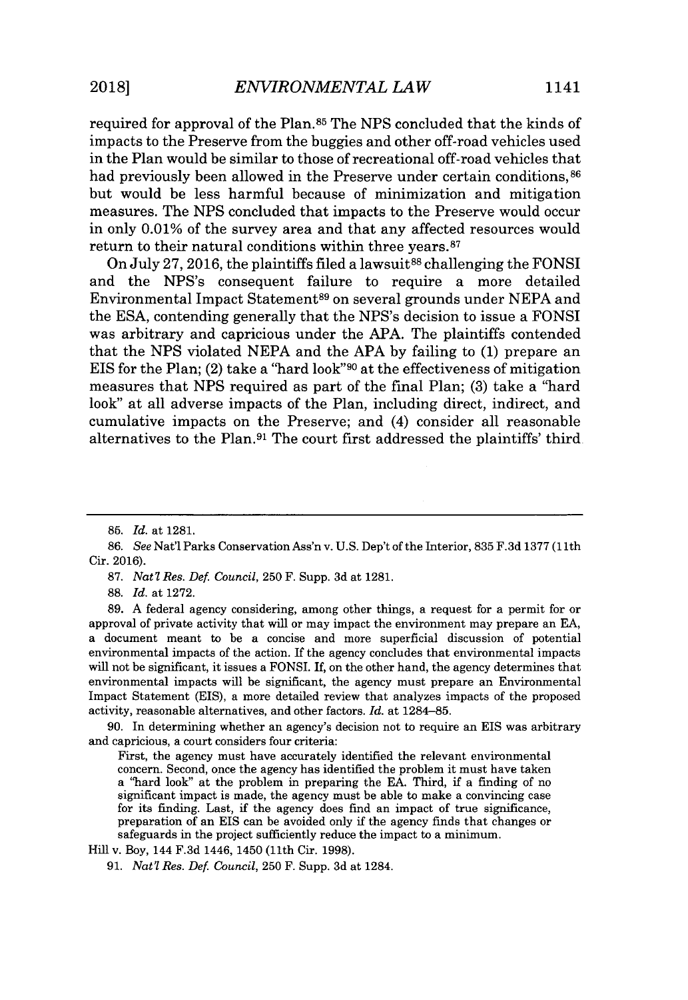required for approval of the Plan.85 The **NPS** concluded that the kinds of impacts to the Preserve from the buggies and other off-road vehicles used in the Plan would be similar to those of recreational off-road vehicles that had previously been allowed in the Preserve under certain conditions,  $86$ but would be less harmful because of minimization and mitigation measures. The **NPS** concluded that impacts to the Preserve would occur in only **0.01%** of the survey area and that any affected resources would return to their natural conditions within three years.<sup>87</sup>

On July **27, 2016,** the plaintiffs filed a lawsuit88 challenging the **FONSI** and the NPS's consequent failure to require a more detailed Environmental Impact Statement<sup>89</sup>on several grounds under **NEPA** and the **ESA,** contending generally that the NPS's decision to issue a **FONSI** was arbitrary and capricious under the **APA.** The plaintiffs contended that the **NPS** violated **NEPA** and the **APA by** failing to **(1)** prepare an EIS for the Plan; (2) take a "hard look"<sup>90</sup> at the effectiveness of mitigation measures that **NPS** required as part of the final Plan; **(3)** take a "hard look" at all adverse impacts of the Plan, including direct, indirect, and cumulative impacts on the Preserve; and (4) consider all reasonable alternatives to the Plan.<sup>91</sup> The court first addressed the plaintiffs' third.

**87.** *Nat? Res. Def. Council,* **250** F. Supp. **3d** at **1281.**

**88.** *Id.* at **1272.**

**89. A** federal agency considering, among other things, a request for a permit for or approval of private activity that will or may impact the environment may prepare an **EA,** a document meant to be a concise and more superficial discussion of potential environmental impacts of the action. If the agency concludes that environmental impacts will not be significant, it issues a FONSI. **If,** on the other hand, the agency determines that environmental impacts will be significant, the agency must prepare an Environmental Impact Statement (EIS), a more detailed review that analyzes impacts of the proposed activity, reasonable alternatives, and other factors. *Id.* at **1284-85.**

**90.** In determining whether an agency's decision not to require an EIS was arbitrary and capricious, a court considers four criteria:

First, the agency must have accurately identified the relevant environmental concern. Second, once the agency has identified the problem it must have taken a "hard look" at the problem in preparing the **EA.** Third, if a finding of no significant impact is made, the agency must be able to make a convincing case for its finding. Last, if the agency does find an impact of true significance, preparation of an EIS can be avoided only if the agency finds that changes or safeguards in the project sufficiently reduce the impact to a minimum.

Hill v. Boy, 144 **F.3d** 1446, 1450 **(11th** Cir. **1998).**

**<sup>85.</sup>** *Id.* at **1281.**

*<sup>86.</sup> See* Nat'l Parks Conservation Ass'n v. **U.S.** Dep't of the Interior, **835 F.3d 1377 (11th** Cir. **2016).**

**<sup>91.</sup>** *Nat? Res. Def. Council,* **250** F. Supp. **3d** at 1284.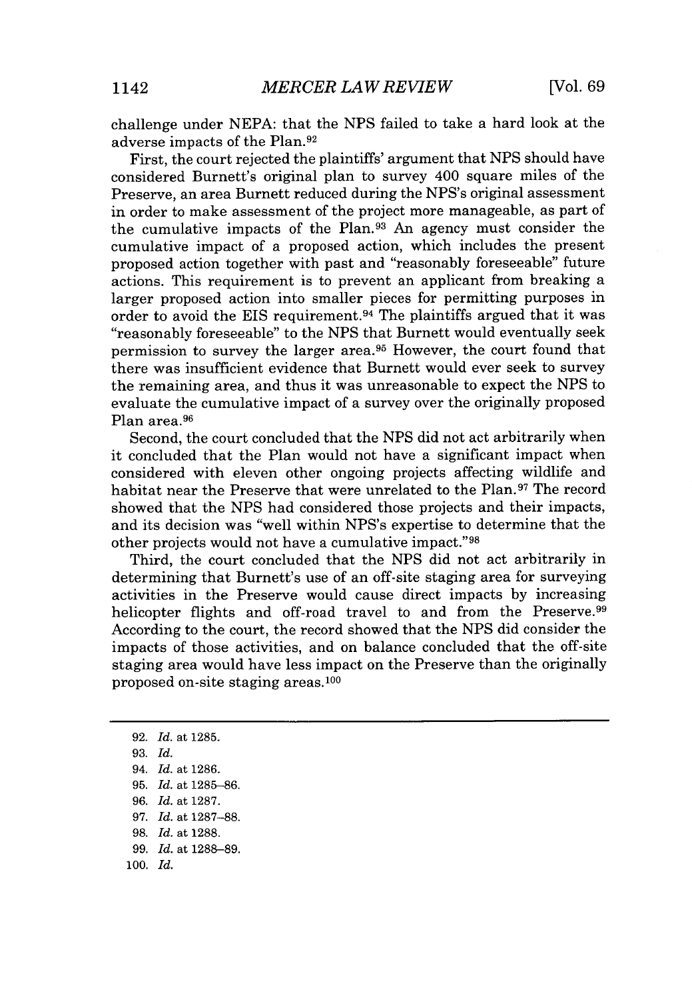challenge under **NEPA:** that the **NPS** failed to take a hard look at the adverse impacts of the Plan.<sup>92</sup>

First, the court rejected the plaintiffs' argument that **NPS** should have considered Burnett's original plan to survey 400 square miles of the Preserve, an area Burnett reduced during the NPS's original assessment in order to make assessment of the project more manageable, as part of the cumulative impacts of the Plan.<sup>9</sup> 3 An agency must consider the cumulative impact of a proposed action, which includes the present proposed action together with past and "reasonably foreseeable" future actions. This requirement is to prevent an applicant from breaking a larger proposed action into smaller pieces for permitting purposes in order to avoid the EIS requirement.<sup>94</sup> The plaintiffs argued that it was "reasonably foreseeable" to the **NPS** that Burnett would eventually seek permission to survey the larger area.<sup>95</sup> However, the court found that there was insufficient evidence that Burnett would ever seek to survey the remaining area, and thus it was unreasonable to expect the **NPS** to evaluate the cumulative impact of a survey over the originally proposed Plan area.<sup>96</sup>

Second, the court concluded that the **NPS** did not act arbitrarily when it concluded that the Plan would not have a significant impact when considered with eleven other ongoing projects affecting wildlife and habitat near the Preserve that were unrelated to the Plan.<sup>97</sup> The record showed that the **NPS** had considered those projects and their impacts, and its decision was "well within NPS's expertise to determine that the other projects would not have a cumulative impact."<sup>98</sup>

Third, the court concluded that the **NPS** did not act arbitrarily in determining that Burnett's use of an off-site staging area for surveying activities in the Preserve would cause direct impacts **by** increasing helicopter flights and off-road travel to and from the Preserve.<sup>99</sup> According to the court, the record showed that the **NPS** did consider the impacts of those activities, and on balance concluded that the off-site staging area would have less impact on the Preserve than the originally proposed on-site staging areas. <sup>100</sup>

*94. Id.* at **1286. 95.** *Id.* at **1285-86.** *96. Id.* at **1287.** *97. Id.* at **1287-88. 98.** *Id.* at **1288.** *99. Id.* at **1288-89. 100.** *Id.*

**<sup>92.</sup>** *Id.* at **1285.**

**<sup>93.</sup>** *Id.*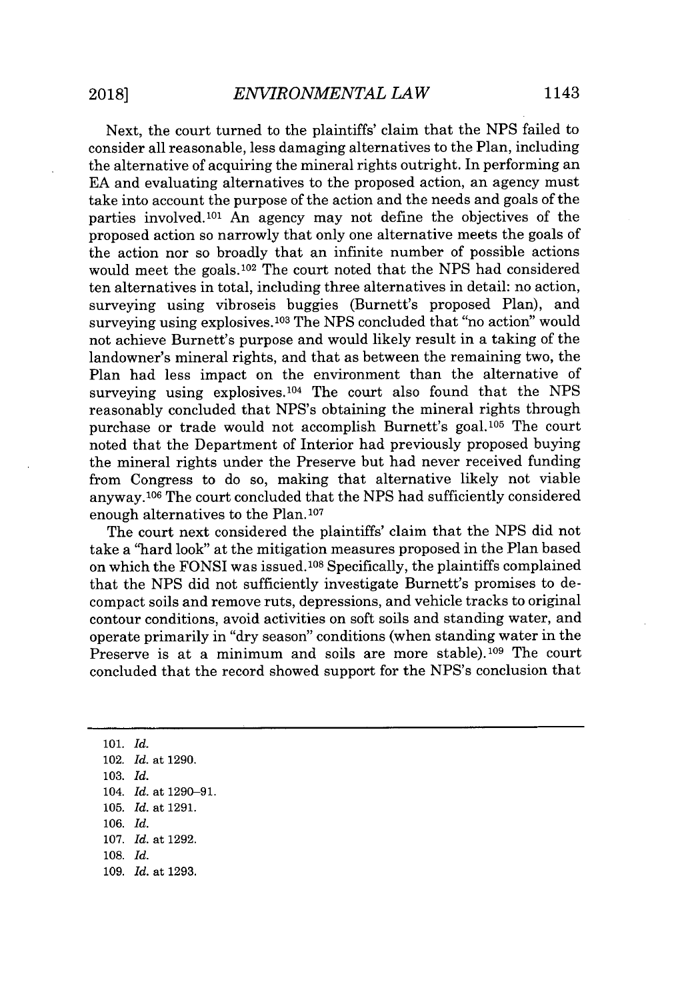Next, the court turned to the plaintiffs' claim that the **NPS** failed to consider all reasonable, less damaging alternatives to the Plan, including the alternative of acquiring the mineral rights outright. In performing an **EA** and evaluating alternatives to the proposed action, an agency must take into account the purpose of the action and the needs and goals of the parties involved.<sup>101</sup>An agency may not define the objectives of the proposed action so narrowly that only one alternative meets the goals of the action nor so broadly that an infinite number of possible actions would meet the goals.<sup>102</sup> The court noted that the NPS had considered ten alternatives in total, including three alternatives in detail: no action, surveying using vibroseis buggies (Burnett's proposed Plan), and surveying using explosives. 10s The **NPS** concluded that "no action" would not achieve Burnett's purpose and would likely result in a taking of the landowner's mineral rights, and that as between the remaining two, the Plan had less impact on the environment than the alternative of surveying using explosives.<sup>104</sup> The court also found that the NPS reasonably concluded that NPS's obtaining the mineral rights through purchase or trade would not accomplish Burnett's goal.<sup>105</sup> The court noted that the Department of Interior had previously proposed buying the mineral rights under the Preserve but had never received funding from Congress to do so, making that alternative likely not viable anyway.106 The court concluded that the **NPS** had sufficiently considered enough alternatives to the Plan.<sup>107</sup>

The court next considered the plaintiffs' claim that the **NPS** did not take a "hard look" at the mitigation measures proposed in the Plan based on which the FONSI was issued. <sup>108</sup>Specifically, the plaintiffs complained that the **NPS** did not sufficiently investigate Burnett's promises to decompact soils and remove ruts, depressions, and vehicle tracks to original contour conditions, avoid activities on soft soils and standing water, and operate primarily in "dry season" conditions (when standing water in the Preserve is at a minimum and soils are more stable).<sup>109</sup> The court concluded that the record showed support for the NPS's conclusion that

**101.** *Id.* 102. *Id.* at **1290. 103.** *Id.* 104. *Id.* at **1290-91. 105.** *Id.* at **1291. 106.** *Id.* **107.** *Id.* at **1292. 108.** *Id.* **109.** *Id.* at **1293.**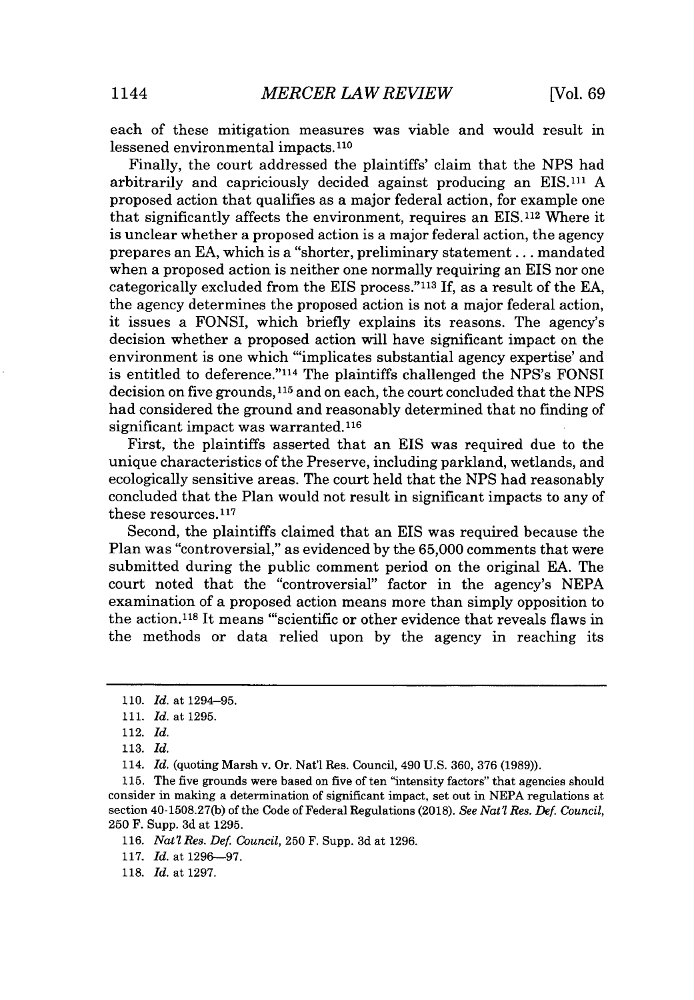each of these mitigation measures was viable and would result in lessened environmental impacts. <sup>110</sup>

Finally, the court addressed the plaintiffs' claim that the **NPS** had arbitrarily and capriciously decided against producing an EIS.111 **A** proposed action that qualifies as a major federal action, for example one that significantly affects the environment, requires an EIS.112 Where it is unclear whether a proposed action is a major federal action, the agency prepares an **EA,** which is a "shorter, preliminary statement.. **.** mandated when a proposed action is neither one normally requiring an EIS nor one categorically excluded from the EIS process."<sup>113</sup>**If,** as a result of the **EA,** the agency determines the proposed action is not a major federal action, it issues a FONSI, which briefly explains its reasons. The agency's decision whether a proposed action will have significant impact on the environment is one which "'implicates substantial agency expertise' and is entitled to deference."<sup>114</sup> The plaintiffs challenged the NPS's FONSI decision on five grounds,11<sup>5</sup>and on each, the court concluded that the **NPS** had considered the ground and reasonably determined that no finding of significant impact was warranted.<sup>116</sup>

First, the plaintiffs asserted that an **EIS** was required due to the unique characteristics of the Preserve, including parkland, wetlands, and ecologically sensitive areas. The court held that the **NPS** had reasonably concluded that the Plan would not result in significant impacts to any of these resources.<sup>117</sup>

Second, the plaintiffs claimed that an **EIS** was required because the Plan was "controversial," as evidenced **by** the **65,000** comments that were submitted during the public comment period on the original **EA.** The court noted that the "controversial" factor in the agency's **NEPA** examination of a proposed action means more than simply opposition to the action.<sup>118</sup> It means "scientific or other evidence that reveals flaws in the methods or data relied upon **by** the agency in reaching its

**<sup>110.</sup>** *Id.* at 1294-95.

**<sup>111.</sup>** *Id.* at **1295.**

<sup>112.</sup> *Id.*

**<sup>113.</sup>** *Id.*

<sup>114.</sup> *Id.* (quoting Marsh v. Or. Nat'l Res. Council, 490 **U.S. 360, 376 (1989)).**

**<sup>115.</sup>** The five grounds were based on five of ten "intensity factors" that agencies should consider in making a determination of significant impact, set out in **NEPA** regulations at section **40-1508.27(b)** of the Code of Federal Regulations **(2018).** *See Nat'l Res. Def. Council,* **250** F. Supp. **3d** at **1295.**

**<sup>116.</sup>** *Nat? Res. Def. Council,* **250** F. Supp. **3d** at **1296.**

**<sup>117.</sup>** *Id.* at **1296--97.**

**<sup>118.</sup>** *Id.* at **1297.**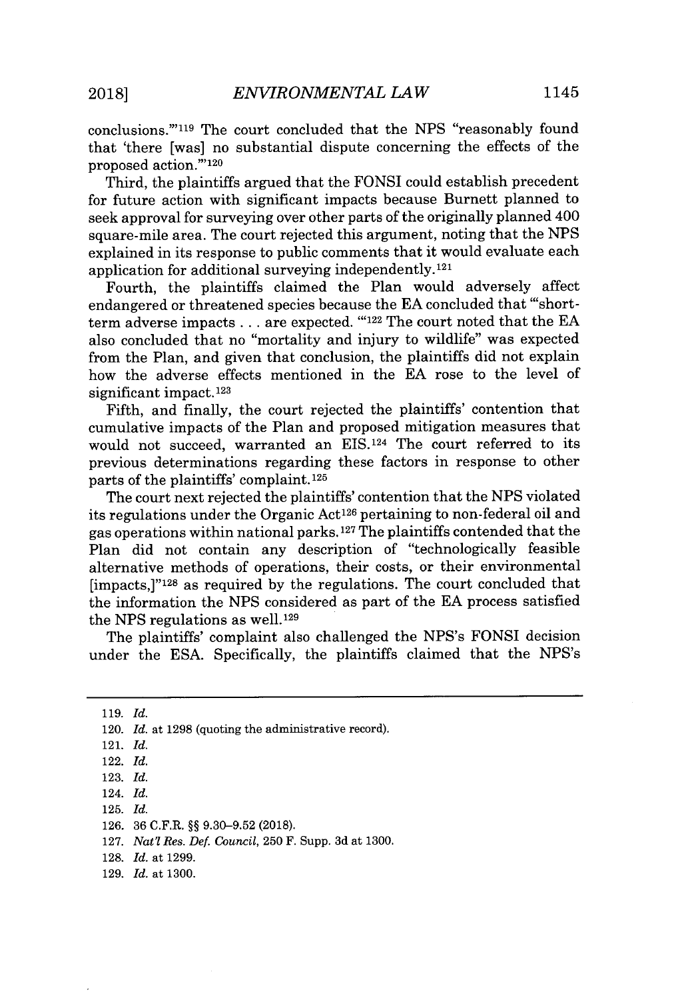conclusions."'"19 The court concluded that the **NPS** "reasonably found that 'there [was] no substantial dispute concerning the effects of the proposed action."'120

Third, the plaintiffs argued that the **FONSI** could establish precedent for future action with significant impacts because Burnett planned to seek approval for surveying over other parts of the originally planned 400 square-mile area. The court rejected this argument, noting that the **NPS** explained in its response to public comments that it would evaluate each application for additional surveying independently. <sup>121</sup>

Fourth, the plaintiffs claimed the Plan would adversely affect endangered or threatened species because the **EA** concluded that "'shortterm adverse impacts **...** are expected. **"'122** The court noted that the **EA** also concluded that no "mortality and injury to wildlife" was expected from the Plan, and given that conclusion, the plaintiffs did not explain how the adverse effects mentioned in the **EA** rose to the level of significant impact.<sup>123</sup>

Fifth, and finally, the court rejected the plaintiffs' contention that cumulative impacts of the Plan and proposed mitigation measures that would not succeed, warranted an EIS.<sup>124</sup> The court referred to its previous determinations regarding these factors in response to other parts of the plaintiffs' complaint.125

The court next rejected the plaintiffs' contention that the **NPS** violated its regulations under the Organic Act<sup>126</sup> pertaining to non-federal oil and gas operations within national parks. **127** The plaintiffs contended that the Plan did not contain any description of "technologically feasible alternative methods of operations, their costs, or their environmental [impacts,]" <sup>12</sup>8 as required **by** the regulations. The court concluded that the information the **NPS** considered as part of the **EA** process satisfied the **NPS** regulations as well.129

The plaintiffs' complaint also challenged the NPS's FONSI decision under the **ESA.** Specifically, the plaintiffs claimed that the NPS's

**128.** *Id.* at **1299.**

**<sup>119.</sup>** *Id.*

<sup>120.</sup> *Id.* at **1298** (quoting the administrative record).

<sup>121.</sup> *Id.*

<sup>122.</sup> *Id.*

**<sup>123.</sup>** *Id.*

<sup>124.</sup> *Id.*

**<sup>125.</sup>** *Id.*

**<sup>126. 36</sup>** C.F.R. **§§ 9.30-9.52 (2018).**

**<sup>127.</sup>** *Nat'l Res. Def. Council,* **250** F. Supp. **3d** at **1300.**

**<sup>129.</sup>** *Id.* at **1300.**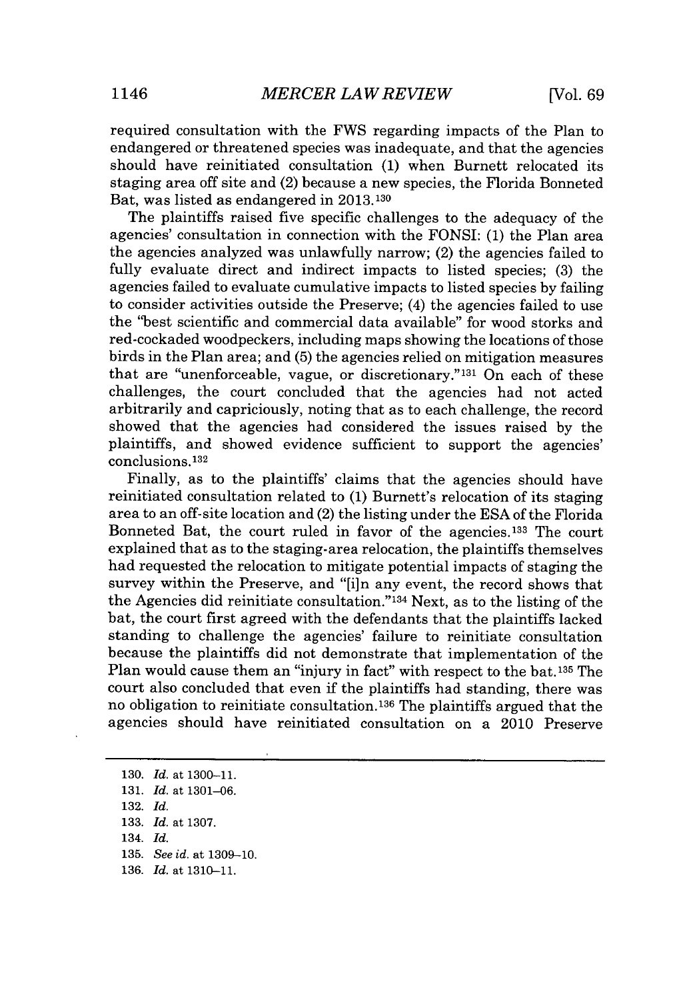required consultation with the FWS regarding impacts of the Plan to endangered or threatened species was inadequate, and that the agencies should have reinitiated consultation **(1)** when Burnett relocated its staging area off site and (2) because a new species, the Florida Bonneted Bat, was listed as endangered in **2013.130**

The plaintiffs raised five specific challenges to the adequacy of the agencies' consultation in connection with the **FONSI: (1)** the Plan area the agencies analyzed was unlawfully narrow; (2) the agencies failed to fully evaluate direct and indirect impacts to listed species; **(3)** the agencies failed to evaluate cumulative impacts to listed species **by** failing to consider activities outside the Preserve; (4) the agencies failed to use the "best scientific and commercial data available" for wood storks and red-cockaded woodpeckers, including maps showing the locations of those birds in the Plan area; and **(5)** the agencies relied on mitigation measures that are "unenforceable, vague, or discretionary." $131$  On each of these challenges, the court concluded that the agencies had not acted arbitrarily and capriciously, noting that as to each challenge, the record showed that the agencies had considered the issues raised **by** the plaintiffs, and showed evidence sufficient to support the agencies' conclusions. **<sup>132</sup>**

Finally, as to the plaintiffs' claims that the agencies should have reinitiated consultation related to **(1)** Burnett's relocation of its staging area to an off-site location and (2) the listing under the **ESA** of the Florida Bonneted Bat, the court ruled in favor of the agencies.<sup>133</sup> The court explained that as to the staging-area relocation, the plaintiffs themselves had requested the relocation to mitigate potential impacts of staging the survey within the Preserve, and "[i]n any event, the record shows that the Agencies did reinitiate consultation."<sup>134</sup> Next, as to the listing of the bat, the court first agreed with the defendants that the plaintiffs lacked standing to challenge the agencies' failure to reinitiate consultation because the plaintiffs did not demonstrate that implementation of the Plan would cause them an "injury in fact" with respect to the bat. **135** The court also concluded that even if the plaintiffs had standing, there was no obligation to reinitiate consultation. **136** The plaintiffs argued that the agencies should have reinitiated consultation on a 2010 Preserve

**130.** *Id. at* **1300-11. 131.** *Id. at* **1301-06. 132.** *Id.* **133.** *Id. at* **1307.** 134. *Id.* **135.** *See id. at* **1309-10. 136.** *Id. at* **1310-11.**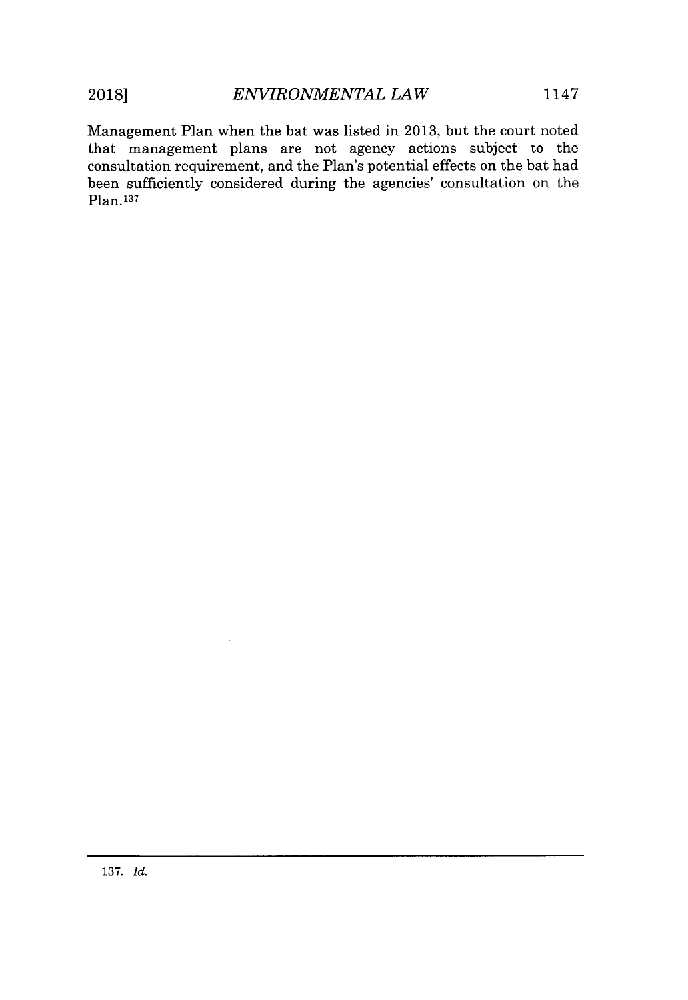Plan. **<sup>137</sup>**